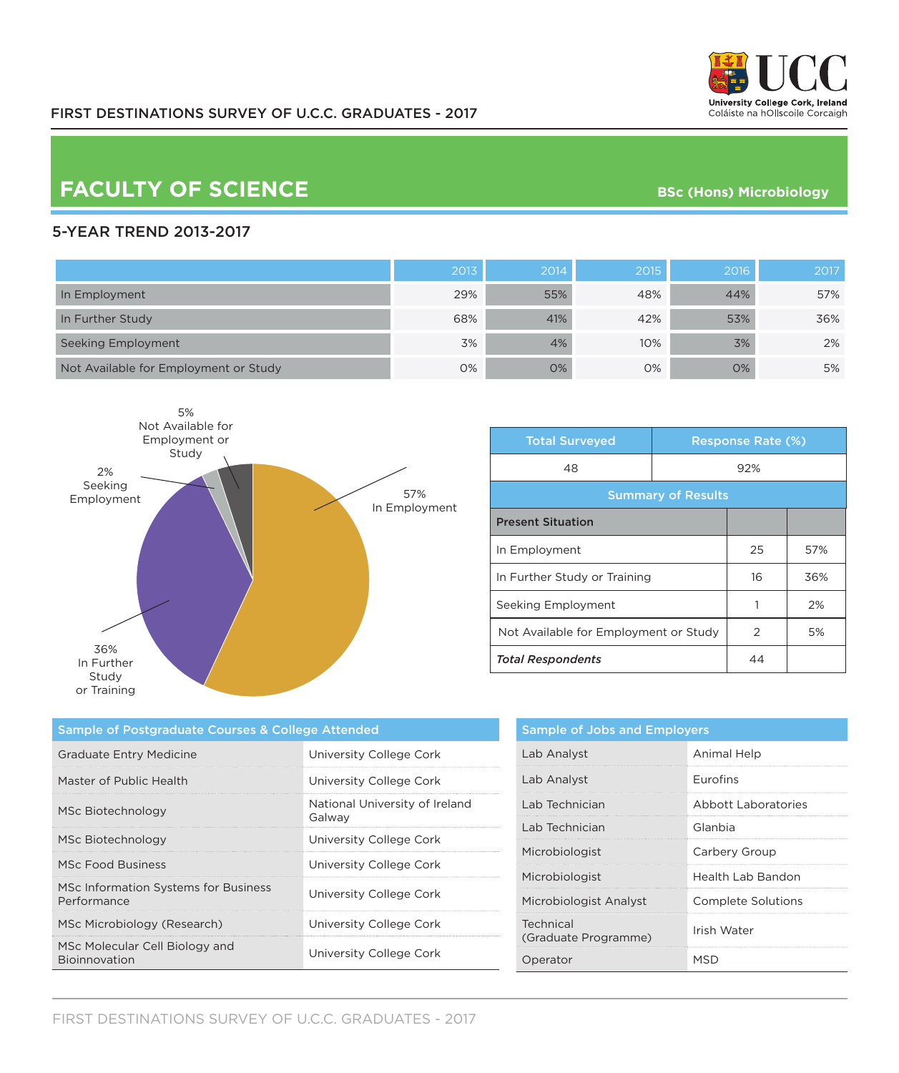

## **FACULTY OF SCIENCE BSC** (Hons) Microbiology

## 5-YEAR TREND 2013-2017

|                                       | 2013 | 2014 | 2015 | 2016 | 2017 |
|---------------------------------------|------|------|------|------|------|
| In Employment                         | 29%  | 55%  | 48%  | 44%  | 57%  |
| In Further Study                      | 68%  | 41%  | 42%  | 53%  | 36%  |
| Seeking Employment                    | 3%   | 4%   | 10%  | 3%   | 2%   |
| Not Available for Employment or Study | 0%   | O%   | 0%   | 0%   | 5%   |



| <b>Total Surveyed</b>                 |     | <b>Response Rate (%)</b> |     |  |
|---------------------------------------|-----|--------------------------|-----|--|
| 48                                    | 92% |                          |     |  |
| <b>Summary of Results</b>             |     |                          |     |  |
| <b>Present Situation</b>              |     |                          |     |  |
| In Employment                         |     | 25                       | 57% |  |
| In Further Study or Training          |     | 16                       | 36% |  |
| Seeking Employment                    |     | 1                        | 2%  |  |
| Not Available for Employment or Study |     | $\mathcal{P}$            | 5%  |  |
| <b>Total Respondents</b>              |     | 44                       |     |  |

| Sample of Postgraduate Courses & College Attended   |                                          |  |
|-----------------------------------------------------|------------------------------------------|--|
| <b>Graduate Entry Medicine</b>                      | University College Cork                  |  |
| Master of Public Health                             | University College Cork                  |  |
| MSc Biotechnology                                   | National University of Ireland<br>Galway |  |
| MSc Biotechnology                                   | University College Cork                  |  |
| <b>MSc Food Business</b>                            | University College Cork                  |  |
| MSc Information Systems for Business<br>Performance | University College Cork                  |  |
| MSc Microbiology (Research)                         | University College Cork                  |  |
| MSc Molecular Cell Biology and<br>Bioinnovation     | University College Cork                  |  |

| <b>Sample of Jobs and Employers</b> |                     |  |
|-------------------------------------|---------------------|--|
| Lab Analyst                         | Animal Help         |  |
| Lab Analyst                         | <b>Furofins</b>     |  |
| Lab Technician                      | Abbott Laboratories |  |
| Lab Technician                      | Glanbia             |  |
| Microbiologist                      | Carbery Group       |  |
| Microbiologist                      | Health Lab Bandon   |  |
| Microbiologist Analyst              | Complete Solutions  |  |
| Technical<br>(Graduate Programme)   | Irish Water         |  |
| Operator                            | MSD                 |  |